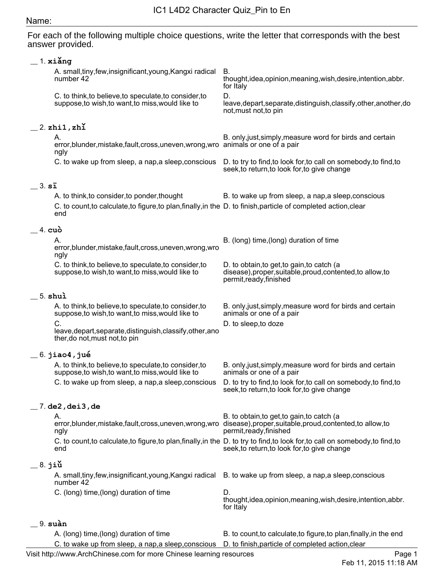## Name:

For each of the following multiple choice questions, write the letter that corresponds with the best answer provided.

| $1. x$ i $\Delta$ ng                                                                                                                                                            |                                                                                                                                                                                 |  |  |
|---------------------------------------------------------------------------------------------------------------------------------------------------------------------------------|---------------------------------------------------------------------------------------------------------------------------------------------------------------------------------|--|--|
| A. small, tiny, few, insignificant, young, Kangxi radical<br>number 42                                                                                                          | В.<br>thought, idea, opinion, meaning, wish, desire, intention, abbr.<br>for Italy                                                                                              |  |  |
| C. to think, to believe, to speculate, to consider, to<br>suppose, to wish, to want, to miss, would like to                                                                     | D.<br>leave, depart, separate, distinguish, classify, other, another, do<br>not, must not, to pin                                                                               |  |  |
| 2. $\verb zhi1 , \verb zh1 $                                                                                                                                                    |                                                                                                                                                                                 |  |  |
| А.<br>error, blunder, mistake, fault, cross, uneven, wrong, wro animals or one of a pair<br>ngly                                                                                | B. only, just, simply, measure word for birds and certain                                                                                                                       |  |  |
| C. to wake up from sleep, a nap, a sleep, conscious                                                                                                                             | D. to try to find, to look for, to call on somebody, to find, to<br>seek, to return, to look for, to give change                                                                |  |  |
| $3. s\bar{1}$                                                                                                                                                                   |                                                                                                                                                                                 |  |  |
| A. to think, to consider, to ponder, thought<br>C. to count, to calculate, to figure, to plan, finally, in the D. to finish, particle of completed action, clear<br>end         | B. to wake up from sleep, a nap, a sleep, conscious                                                                                                                             |  |  |
|                                                                                                                                                                                 |                                                                                                                                                                                 |  |  |
| $4.$ cuò<br>А.<br>error, blunder, mistake, fault, cross, uneven, wrong, wro<br>ngly                                                                                             | B. (long) time, (long) duration of time                                                                                                                                         |  |  |
| C. to think, to believe, to speculate, to consider, to<br>suppose, to wish, to want, to miss, would like to                                                                     | D. to obtain, to get, to gain, to catch (a<br>disease), proper, suitable, proud, contented, to allow, to<br>permit, ready, finished                                             |  |  |
| $\_$ 5. shui                                                                                                                                                                    |                                                                                                                                                                                 |  |  |
| A. to think, to believe, to speculate, to consider, to<br>suppose, to wish, to want, to miss, would like to<br>C.<br>leave, depart, separate, distinguish, classify, other, ano | B. only, just, simply, measure word for birds and certain<br>animals or one of a pair<br>D. to sleep, to doze                                                                   |  |  |
| ther, do not, must not, to pin                                                                                                                                                  |                                                                                                                                                                                 |  |  |
| $=$ 6. jiao4, jué                                                                                                                                                               |                                                                                                                                                                                 |  |  |
| A. to think, to believe, to speculate, to consider, to<br>suppose, to wish, to want, to miss, would like to                                                                     | B. only, just, simply, measure word for birds and certain<br>animals or one of a pair                                                                                           |  |  |
|                                                                                                                                                                                 | C. to wake up from sleep, a nap, a sleep, conscious D. to try to find, to look for, to call on somebody, to find, to<br>seek, to return, to look for, to give change            |  |  |
| 7. de2, dei3, de                                                                                                                                                                |                                                                                                                                                                                 |  |  |
| А.<br>error, blunder, mistake, fault, cross, uneven, wrong, wro<br>ngly                                                                                                         | B. to obtain, to get, to gain, to catch (a<br>disease), proper, suitable, proud, contented, to allow, to<br>permit, ready, finished                                             |  |  |
| end                                                                                                                                                                             | C. to count, to calculate, to figure, to plan, finally, in the D. to try to find, to look for, to call on somebody, to find, to<br>seek, to return, to look for, to give change |  |  |
| $=$ 8. jiǔ                                                                                                                                                                      |                                                                                                                                                                                 |  |  |
| A. small, tiny, few, insignificant, young, Kangxi radical<br>number 42                                                                                                          | B. to wake up from sleep, a nap, a sleep, conscious                                                                                                                             |  |  |
| C. (long) time, (long) duration of time                                                                                                                                         | D.<br>thought, idea, opinion, meaning, wish, desire, intention, abbr.<br>for Italy                                                                                              |  |  |
| 9. suàn                                                                                                                                                                         |                                                                                                                                                                                 |  |  |
| A. (long) time, (long) duration of time                                                                                                                                         | B. to count, to calculate, to figure, to plan, finally, in the end                                                                                                              |  |  |

C. to wake up from sleep, a nap,a sleep,conscious D. to finish,particle of completed action,clear Visit http://www.ArchChinese.com for more Chinese learning resources Page 1